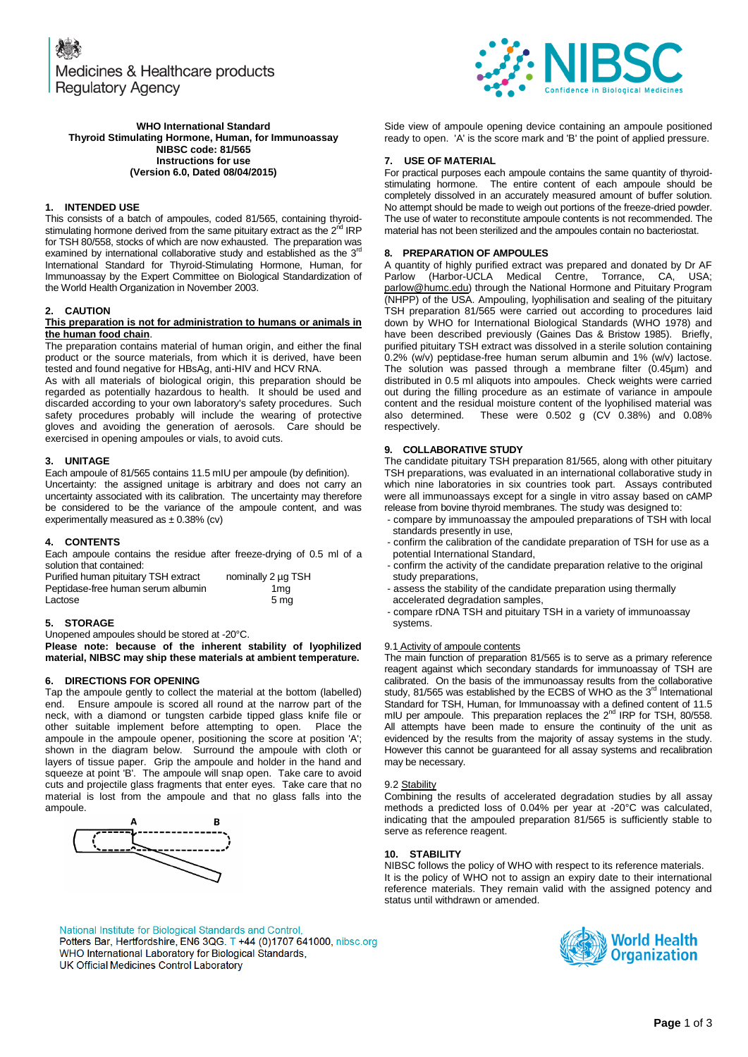

Side view of ampoule opening device containing an ampoule positioned ready to open. 'A' is the score mark and 'B' the point of applied pressure.

For practical purposes each ampoule contains the same quantity of thyroidstimulating hormone. The entire content of each ampoule should be completely dissolved in an accurately measured amount of buffer solution. No attempt should be made to weigh out portions of the freeze-dried powder. The use of water to reconstitute ampoule contents is not recommended. The material has not been sterilized and the ampoules contain no bacteriostat.

A quantity of highly purified extract was prepared and donated by Dr AF Parlow (Harbor-UCLA Medical Centre, Torrance, CA, USA; [parlow@humc.edu\)](mailto:parlow@humc.edu) through the National Hormone and Pituitary Program (NHPP) of the USA. Ampouling, lyophilisation and sealing of the pituitary TSH preparation 81/565 were carried out according to procedures laid down by WHO for International Biological Standards (WHO 1978) and have been described previously (Gaines Das & Bristow 1985). Briefly, purified pituitary TSH extract was dissolved in a sterile solution containing 0.2% (w/v) peptidase-free human serum albumin and 1% (w/v) lactose. The solution was passed through a membrane filter (0.45µm) and distributed in 0.5 ml aliquots into ampoules. Check weights were carried out during the filling procedure as an estimate of variance in ampoule content and the residual moisture content of the lyophilised material was also determined. These were 0.502 g (CV 0.38%) and 0.08%

The candidate pituitary TSH preparation 81/565, along with other pituitary TSH preparations, was evaluated in an international collaborative study in which nine laboratories in six countries took part. Assays contributed were all immunoassays except for a single in vitro assay based on cAMP release from bovine thyroid membranes. The study was designed to: - compare by immunoassay the ampouled preparations of TSH with local

- confirm the calibration of the candidate preparation of TSH for use as a

#### **WHO International Standard Thyroid Stimulating Hormone, Human, for Immunoassay NIBSC code: 81/565 Instructions for use (Version 6.0, Dated 08/04/2015)**

### **1. INTENDED USE**

This consists of a batch of ampoules, coded 81/565, containing thyroidstimulating hormone derived from the same pituitary extract as the 2<sup>nd</sup> IRP for TSH 80/558, stocks of which are now exhausted. The preparation was examined by international collaborative study and established as the 3<sup>rd</sup> International Standard for Thyroid-Stimulating Hormone, Human, for Immunoassay by the Expert Committee on Biological Standardization of the World Health Organization in November 2003.

#### **2. CAUTION**

#### **This preparation is not for administration to humans or animals in the human food chain**.

The preparation contains material of human origin, and either the final product or the source materials, from which it is derived, have been tested and found negative for HBsAg, anti-HIV and HCV RNA.

As with all materials of biological origin, this preparation should be regarded as potentially hazardous to health. It should be used and discarded according to your own laboratory's safety procedures. Such safety procedures probably will include the wearing of protective gloves and avoiding the generation of aerosols. Care should be exercised in opening ampoules or vials, to avoid cuts.

# **3. UNITAGE**

Each ampoule of 81/565 contains 11.5 mIU per ampoule (by definition).

Uncertainty: the assigned unitage is arbitrary and does not carry an uncertainty associated with its calibration. The uncertainty may therefore be considered to be the variance of the ampoule content, and was experimentally measured as  $\pm$  0.38% (cv)

#### **4. CONTENTS**

Each ampoule contains the residue after freeze-drying of 0.5 ml of a solution that contained:

| Purified human pituitary TSH extract | nominally 2 µg TSH |
|--------------------------------------|--------------------|
| Peptidase-free human serum albumin   | 1mg                |
| Lactose                              | 5 ma               |

#### **5. STORAGE**

Unopened ampoules should be stored at -20°C. **Please note: because of the inherent stability of lyophilized material, NIBSC may ship these materials at ambient temperature.**

#### **6. DIRECTIONS FOR OPENING**

Tap the ampoule gently to collect the material at the bottom (labelled) end. Ensure ampoule is scored all round at the narrow part of the neck, with a diamond or tungsten carbide tipped glass knife file or other suitable implement before attempting to open. Place the ampoule in the ampoule opener, positioning the score at position 'A'; shown in the diagram below. Surround the ampoule with cloth or layers of tissue paper. Grip the ampoule and holder in the hand and squeeze at point 'B'. The ampoule will snap open. Take care to avoid cuts and projectile glass fragments that enter eyes. Take care that no material is lost from the ampoule and that no glass falls into the ampoule.



# National Institute for Biological Standards and Control, Potters Bar, Hertfordshire, EN6 3QG. T +44 (0)1707 641000, nibsc.org WHO International Laboratory for Biological Standards, UK Official Medicines Control Laboratory

# - confirm the activity of the candidate preparation relative to the original - assess the stability of the candidate preparation using thermally

- accelerated degradation samples, - compare rDNA TSH and pituitary TSH in a variety of immunoassay
- systems.

# 9.1 Activity of ampoule contents

**9. COLLABORATIVE STUDY**

standards presently in use,

study preparations,

potential International Standard,

**7. USE OF MATERIAL**

**8. PREPARATION OF AMPOULES**

The main function of preparation 81/565 is to serve as a primary reference reagent against which secondary standards for immunoassay of TSH are calibrated. On the basis of the immunoassay results from the collaborative study, 81/565 was established by the ECBS of WHO as the 3<sup>rd</sup> International Standard for TSH, Human, for Immunoassay with a defined content of 11.5 mIU per ampoule. This preparation replaces the 2<sup>nd</sup> IRP for TSH, 80/558. All attempts have been made to ensure the continuity of the unit as evidenced by the results from the majority of assay systems in the study. However this cannot be guaranteed for all assay systems and recalibration may be necessary.

#### 9.2 Stability

respectively.

Combining the results of accelerated degradation studies by all assay methods a predicted loss of 0.04% per year at -20°C was calculated, indicating that the ampouled preparation 81/565 is sufficiently stable to serve as reference reagent.

#### **10. STABILITY**

NIBSC follows the policy of WHO with respect to its reference materials. It is the policy of WHO not to assign an expiry date to their international reference materials. They remain valid with the assigned potency and status until withdrawn or amended.

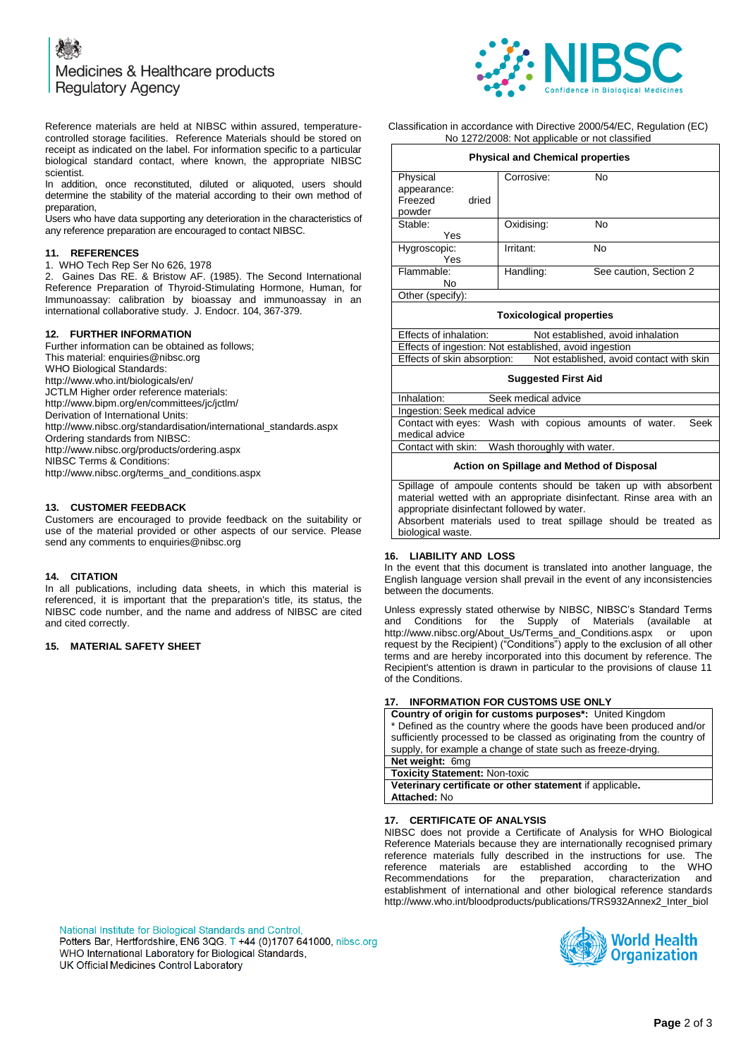# Medicines & Healthcare products **Regulatory Agency**



Reference materials are held at NIBSC within assured, temperaturecontrolled storage facilities. Reference Materials should be stored on receipt as indicated on the label. For information specific to a particular biological standard contact, where known, the appropriate NIBSC scientist.

In addition, once reconstituted, diluted or aliquoted, users should determine the stability of the material according to their own method of preparation,

Users who have data supporting any deterioration in the characteristics of any reference preparation are encouraged to contact NIBSC.

# **11. REFERENCES**

1. WHO Tech Rep Ser No 626, 1978

2. Gaines Das RE. & Bristow AF. (1985). The Second International Reference Preparation of Thyroid-Stimulating Hormone, Human, for Immunoassay: calibration by bioassay and immunoassay in an international collaborative study. J. Endocr. 104, 367-379.

#### **12. FURTHER INFORMATION**

Further information can be obtained as follows; This material[: enquiries@nibsc.org](mailto:enquiries@nibsc.org) WHO Biological Standards: <http://www.who.int/biologicals/en/> JCTLM Higher order reference materials: <http://www.bipm.org/en/committees/jc/jctlm/> Derivation of International Units: [http://www.nibsc.org/standardisation/international\\_standards.aspx](http://www.nibsc.org/standardisation/international_standards.aspx) Ordering standards from NIBSC: <http://www.nibsc.org/products/ordering.aspx> NIBSC Terms & Conditions: [http://www.nibsc.org/terms\\_and\\_conditions.aspx](http://www.nibsc.ac.uk/terms_and_conditions.aspx)

#### **13. CUSTOMER FEEDBACK**

Customers are encouraged to provide feedback on the suitability or use of the material provided or other aspects of our service. Please send any comments t[o enquiries@nibsc.org](mailto:enquiries@nibsc.org)

#### **14. CITATION**

In all publications, including data sheets, in which this material is referenced, it is important that the preparation's title, its status, the NIBSC code number, and the name and address of NIBSC are cited and cited correctly.

### **15. MATERIAL SAFETY SHEET**

Classification in accordance with Directive 2000/54/EC, Regulation (EC) No 1272/2008: Not applicable or not classified

| <b>Physical and Chemical properties</b>                                 |            |                        |  |
|-------------------------------------------------------------------------|------------|------------------------|--|
| Physical                                                                | Corrosive: | No                     |  |
| appearance:                                                             |            |                        |  |
| Freezed<br>dried                                                        |            |                        |  |
| powder                                                                  |            |                        |  |
| Stable:                                                                 | Oxidising: | No                     |  |
| Yes                                                                     |            |                        |  |
| Hygroscopic:                                                            | Irritant:  | No                     |  |
| Yes                                                                     |            |                        |  |
| Flammable:                                                              | Handling:  | See caution, Section 2 |  |
| No                                                                      |            |                        |  |
| Other (specify):                                                        |            |                        |  |
| <b>Toxicological properties</b>                                         |            |                        |  |
| Effects of inhalation:<br>Not established, avoid inhalation             |            |                        |  |
| Effects of ingestion: Not established, avoid ingestion                  |            |                        |  |
| Effects of skin absorption:<br>Not established, avoid contact with skin |            |                        |  |
| <b>Suggested First Aid</b>                                              |            |                        |  |
| Inhalation:<br>Seek medical advice                                      |            |                        |  |
| ولمشاربها والممثلة والمعادي والمتمثلة والمستراة والمستحدث               |            |                        |  |

Ingestion: Seek medical advice Contact with eyes: Wash with copious amounts of water. Seek medical advice Contact with skin: Wash thoroughly with water.

#### **Action on Spillage and Method of Disposal**

Spillage of ampoule contents should be taken up with absorbent material wetted with an appropriate disinfectant. Rinse area with an appropriate disinfectant followed by water. Absorbent materials used to treat spillage should be treated as

biological waste.

# **16. LIABILITY AND LOSS**

In the event that this document is translated into another language, the English language version shall prevail in the event of any inconsistencies between the documents.

Unless expressly stated otherwise by NIBSC, NIBSC's Standard Terms and Conditions for the Supply of Materials (available at [http://www.nibsc.org/About\\_Us/Terms\\_and\\_Conditions.aspx](http://www.nibsc.org/About_Us/Terms_and_Conditions.aspx) or upon request by the Recipient) ("Conditions") apply to the exclusion of all other terms and are hereby incorporated into this document by reference. The Recipient's attention is drawn in particular to the provisions of clause 11 of the Conditions.

### **INFORMATION FOR CUSTOMS USE ONLY**

**Country of origin for customs purposes\*:** United Kingdom \* Defined as the country where the goods have been produced and/or sufficiently processed to be classed as originating from the country of supply, for example a change of state such as freeze-drying. **Net weight:** 6mg **Toxicity Statement:** Non-toxic

**Veterinary certificate or other statement** if applicable**. Attached:** No

#### **17. CERTIFICATE OF ANALYSIS**

NIBSC does not provide a Certificate of Analysis for WHO Biological Reference Materials because they are internationally recognised primary reference materials fully described in the instructions for use. The reference materials are established according to the WHO Recommendations for the preparation, characterization and establishment of international and other biological reference standards [http://www.who.int/bloodproducts/publications/TRS932Annex2\\_Inter\\_biol](http://www.who.int/bloodproducts/publications/TRS932Annex2_Inter_biolefstandardsrev2004.pdf)

National Institute for Biological Standards and Control, Potters Bar, Hertfordshire, EN6 3QG. T +44 (0)1707 641000, nibsc.org WHO International Laboratory for Biological Standards, UK Official Medicines Control Laboratory